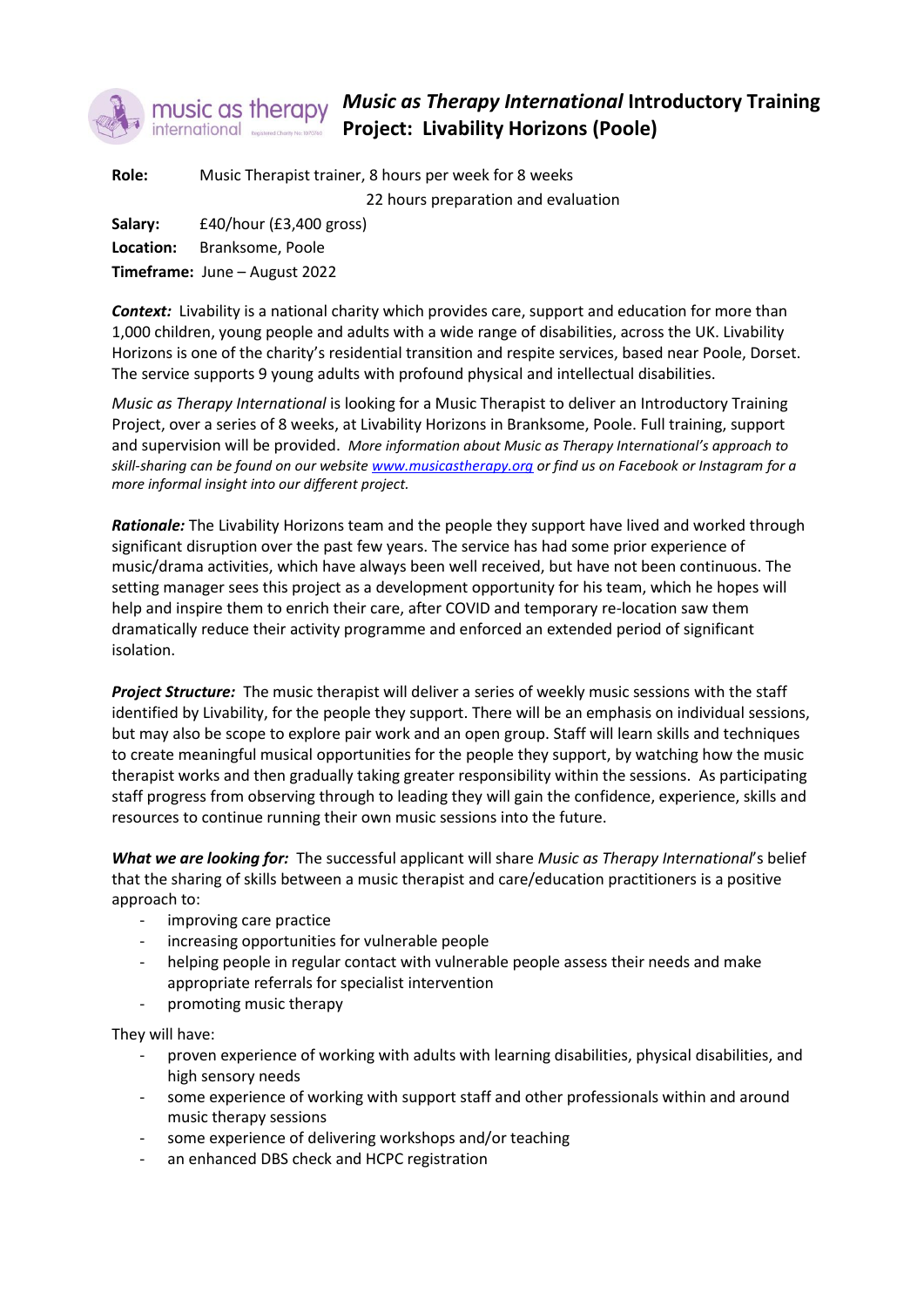

## *Music as Therapy International* **Introductory Training Project: Livability Horizons (Poole)**

**Role:** Music Therapist trainer, 8 hours per week for 8 weeks 22 hours preparation and evaluation **Salary:** £40/hour (£3,400 gross) **Location:** Branksome, Poole **Timeframe:** June – August 2022

*Context:* Livability is a national charity which provides care, support and education for more than 1,000 children, young people and adults with a wide range of disabilities, across the UK. Livability Horizons is one of the charity's residential transition and respite services, based near Poole, Dorset. The service supports 9 young adults with profound physical and intellectual disabilities.

*Music as Therapy International* is looking for a Music Therapist to deliver an Introductory Training Project, over a series of 8 weeks, at Livability Horizons in Branksome, Poole. Full training, support and supervision will be provided. *More information about Music as Therapy International's approach to skill-sharing can be found on our websit[e www.musicastherapy.org](http://www.musicastherapy.org/) or find us on Facebook or Instagram for a more informal insight into our different project.*

*Rationale:* The Livability Horizons team and the people they support have lived and worked through significant disruption over the past few years. The service has had some prior experience of music/drama activities, which have always been well received, but have not been continuous. The setting manager sees this project as a development opportunity for his team, which he hopes will help and inspire them to enrich their care, after COVID and temporary re-location saw them dramatically reduce their activity programme and enforced an extended period of significant isolation.

*Project Structure:* The music therapist will deliver a series of weekly music sessions with the staff identified by Livability, for the people they support. There will be an emphasis on individual sessions, but may also be scope to explore pair work and an open group. Staff will learn skills and techniques to create meaningful musical opportunities for the people they support, by watching how the music therapist works and then gradually taking greater responsibility within the sessions. As participating staff progress from observing through to leading they will gain the confidence, experience, skills and resources to continue running their own music sessions into the future.

*What we are looking for:* The successful applicant will share *Music as Therapy International*'s belief that the sharing of skills between a music therapist and care/education practitioners is a positive approach to:

- improving care practice
- increasing opportunities for vulnerable people
- helping people in regular contact with vulnerable people assess their needs and make appropriate referrals for specialist intervention
- promoting music therapy

They will have:

- proven experience of working with adults with learning disabilities, physical disabilities, and high sensory needs
- some experience of working with support staff and other professionals within and around music therapy sessions
- some experience of delivering workshops and/or teaching
- an enhanced DBS check and HCPC registration